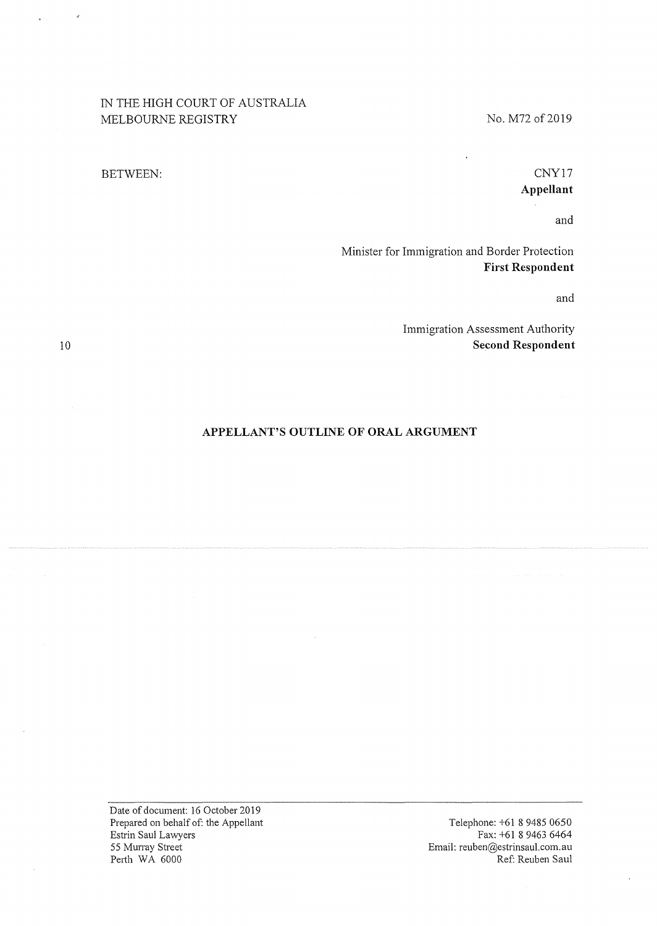# IN THE HIGH COURT OF AUSTRALIA MELBOURNE REGISTRY

BETWEEN:

## No. M72 of 2019

CNY17 **Appellant** 

and

Minister for Immigration and Border Protection **First Respondent** 

and

Immigration Assessment Authority **Second Respondent** 

## **APPELLANT'S OUTLINE OF ORAL ARGUMENT**

Date of document: 16 October 2019 Prepared on behalf of: the Appellant Estrin Saul Lawyers 55 Murray Street Perth WA 6000

Telephone: +61 **8** 9485 0650 Fax: +61 8 9463 6464 Email: reuben@estrinsaul.com.au Ref: Reuben Saul

10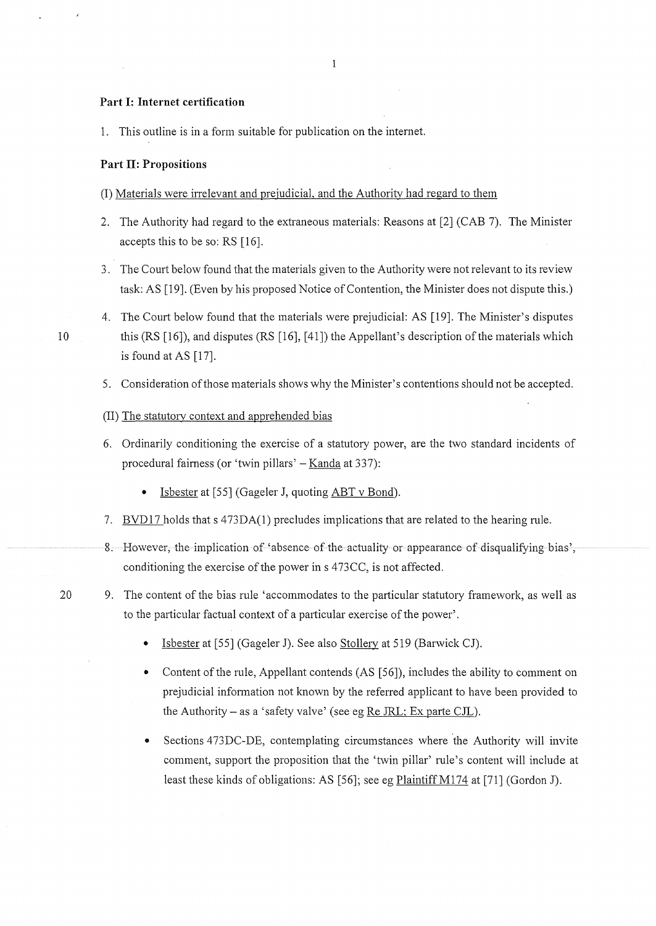#### **Part I: Internet certification**

1. This outline is in a form suitable for publication on the internet.

### **Part II: Propositions**

#### (I) Materials were irrelevant and prejudicial, and the Authority had regard to them

- 2. The Authority had regard to the extraneous materials: Reasons at [2] (CAB 7). The Minister accepts this to be so: RS [16].
- 3. The Court below found that the materials given to the Authority were not relevant to its review task: AS [19]. (Even by his proposed Notice of Contention, the Minister does not dispute this.)
- 4. The Court below found that the materials were prejudicial: AS [19]. The Minister's disputes 10 this (RS [16]), and disputes (RS [16], [41]) the Appellant's description of the materials which is found at AS [17].
	- 5. Consideration of those materials shows why the Minister's contentions should not be accepted.

#### (II) The statutory context and apprehended bias

- 6. Ordinarily conditioning the exercise of a statutory power, are the two standard incidents of procedural fairness (or 'twin pillars' - Kanda at 337):
	- Isbester at [55] (Gageler J, quoting ABT v Bond).
- 7. BVD17 holds that s 473DA(1) precludes implications that are related to the hearing rule.
- 8. However, the implication of 'absence of the actuality or appearance of disqualifying bias', conditioning the exercise of the power ins 473CC, is not affected.
- 20 9. The content of the bias rule 'accommodates to the particular statutory framework, as well as to the particular factual context of a particular exercise of the power'.
	- Isbester at [55] (Gageler J). See also Stollery at 519 (Barwick CJ).
	- Content of the rule, Appellant contends (AS [56]), includes the ability to comment on prejudicial infonnation not known by the referred applicant to have been provided to the Authority – as a 'safety valve' (see eg Re JRL: Ex parte CJL).
	- Sections 473DC-DE, contemplating circumstances where the Authority will invite comment, support the proposition that the 'twin pillar' rule's content will include at least these kinds of obligations: AS [56]; see eg Plaintiff M174 at [71] (Gordon J).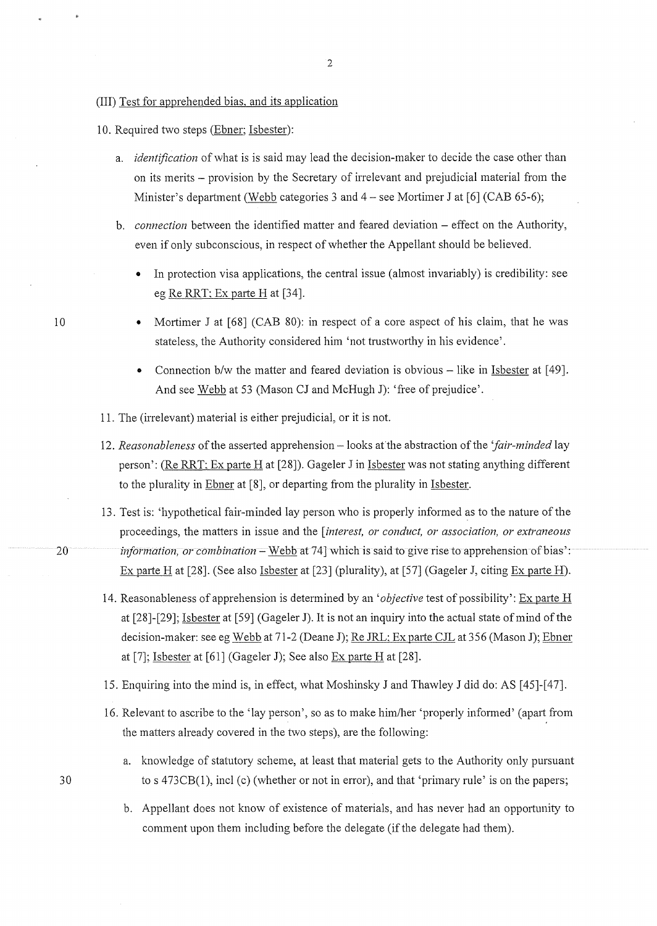## (III) Test for apprehended bias. and its application

10. Required two steps (Ebner; Isbester):

- a. *identification* of what is is said may lead the decision-maker to decide the case other than on its merits - provision by the Secretary of irrelevant and prejudicial material from the Minister's department (Webb categories 3 and 4 – see Mortimer J at [6] (CAB 65-6);
- b. *connection* between the identified matter and feared deviation effect on the Authority, even if only subconscious, in respect of whether the Appellant should be believed.
	- In protection visa applications, the central issue (almost invariably) is credibility: see eg Re RRT: Ex parte Hat [34].
	- Mortimer J at [68] (CAB 80): in respect of a core aspect of his claim, that he was stateless, the Authority considered him 'not trustworthy in his evidence'.
	- Connection b/w the matter and feared deviation is obvious  $-$  like in Isbester at [49]. And see Webb at 53 (Mason CJ and McHugh J): 'free of prejudice'.
- 11. The (irrelevant) material is either prejudicial, or it is not.
- 12. *Reasonableness* of the asserted apprehension looks at the abstraction of the 'fair-minded lay person': (Re RRT; Ex parte Hat [28]). Gageler Jin Isbester was not stating anything different to the plurality in Ebner at [8], or departing from the plurality in Isbester.
- 13. Test is: 'hypothetical fair-minded lay person who is properly informed as to the nature of the proceedings, the matters in issue and the *[interest, or conduct, or association, or extraneous*  20 *information, or combination* – Webb at 74] which is said to give rise to apprehension of bias': Ex parte H at  $[28]$ . (See also Isbester at  $[23]$  (plurality), at  $[57]$  (Gageler J, citing Ex parte H).
	- 14. Reasonableness of apprehension is determined by an *'objective* test of possibility': Ex parte H at [28]-[29]; Isbester at [59] (Gageler J). It is not an inquiry into the actual state of mind of the decision-maker: see eg Webb at 71-2 (Deane J); Re JRL; Ex parte CJL at 356 (Mason J); Ebner at [7]; Isbester at [61] (Gageler J); See also Ex patie Hat [28].
	- 15. Enquiring into the mind is, in effect, what Moshinsky J and Thawley J did do: AS [45]-[47].
	- 16. Relevant to ascribe to the 'lay person', so as to make him/her 'properly informed' (apati from the matters already covered in the two steps), are the following:
		- a. knowledge of statutory scheme, at least that material gets to the Authority only pursuant to s 473CB(l), incl (c) (whether or not in error), and that 'primary rule' is on the papers;
		- b. Appellant does not know of existence of materials, and has never had an opportunity to comment upon them including before the delegate (if the delegate had them).

10

30